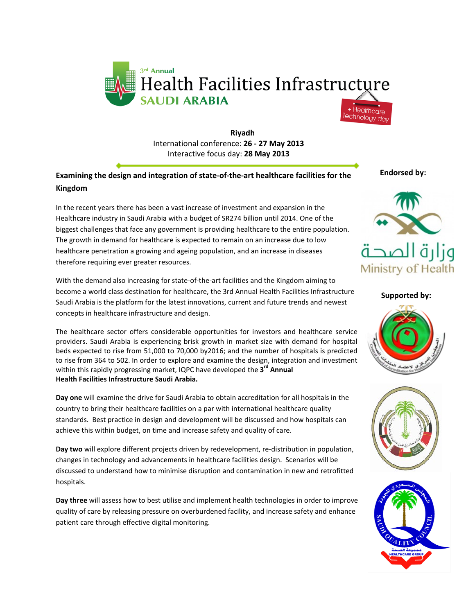

**Riyadh** International conference: **26 - 27 May 2013** Interactive focus day: **28 May 2013**

### **Examining the design and integration of state-of-the-art healthcare facilities for the Kingdom**

In the recent years there has been a vast increase of investment and expansion in the Healthcare industry in Saudi Arabia with a budget of SR274 billion until 2014. One of the biggest challenges that face any government is providing healthcare to the entire population. The growth in demand for healthcare is expected to remain on an increase due to low healthcare penetration a growing and ageing population, and an increase in diseases therefore requiring ever greater resources.

With the demand also increasing for state-of-the-art facilities and the Kingdom aiming to become a world class destination for healthcare, the 3rd Annual Health Facilities Infrastructure Saudi Arabia is the platform for the latest innovations, current and future trends and newest concepts in healthcare infrastructure and design.

The healthcare sector offers considerable opportunities for investors and healthcare service providers. Saudi Arabia is experiencing brisk growth in market size with demand for hospital beds expected to rise from 51,000 to 70,000 by2016; and the number of hospitals is predicted to rise from 364 to 502. In order to explore and examine the design, integration and investment within this rapidly progressing market, IQPC have developed the **3 rd Annual Health Facilities Infrastructure Saudi Arabia.**

**Day one** will examine the drive for Saudi Arabia to obtain accreditation for all hospitals in the country to bring their healthcare facilities on a par with international healthcare quality standards. Best practice in design and development will be discussed and how hospitals can achieve this within budget, on time and increase safety and quality of care.

**Day two** will explore different projects driven by redevelopment, re-distribution in population, changes in technology and advancements in healthcare facilities design. Scenarios will be discussed to understand how to minimise disruption and contamination in new and retrofitted hospitals.

**Day three** will assess how to best utilise and implement health technologies in order to improve quality of care by releasing pressure on overburdened facility, and increase safety and enhance patient care through effective digital monitoring.

**Endorsed by:**



**Supported by:**





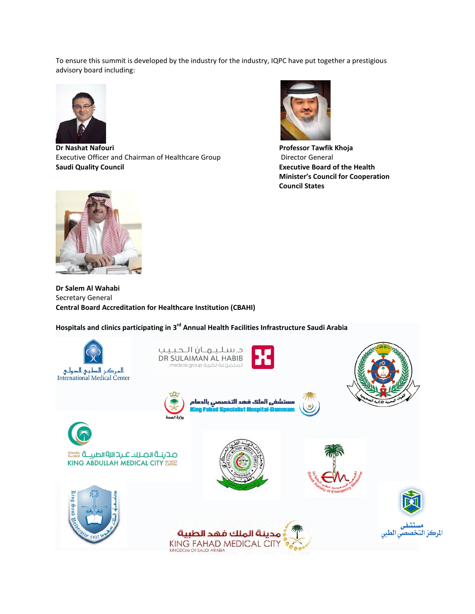To ensure this summit is developed by the industry for the industry, IQPC have put together a prestigious advisory board including:



**Dr Nashat Nafouri Professor Tawfik Khoja** Executive Officer and Chairman of Healthcare Group Director General **Saudi Quality Council Executive Board of the Health** 



**Minister's Council for Cooperation Council States**



**Dr Salem Al Wahabi** Secretary General **Central Board Accreditation for Healthcare Institution (CBAHI)**

**Hospitals and clinics participating in 3rd Annual Health Facilities Infrastructure Saudi Arabia**

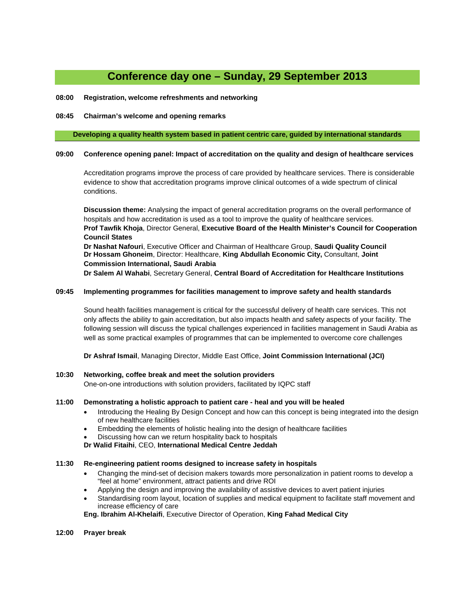## **Conference day one – Sunday, 29 September 2013**

#### **08:00 Registration, welcome refreshments and networking**

#### **08:45 Chairman's welcome and opening remarks**

#### **Developing a quality health system based in patient centric care, guided by international standards**

#### **09:00 Conference opening panel: Impact of accreditation on the quality and design of healthcare services**

Accreditation programs improve the process of care provided by healthcare services. There is considerable evidence to show that accreditation programs improve clinical outcomes of a wide spectrum of clinical conditions.

**Discussion theme:** Analysing the impact of general accreditation programs on the overall performance of hospitals and how accreditation is used as a tool to improve the quality of healthcare services. **Prof Tawfik Khoja**, Director General, **Executive Board of the Health Minister's Council for Cooperation Council States Dr Nashat Nafouri**, Executive Officer and Chairman of Healthcare Group, **Saudi Quality Council**

**Dr Hossam Ghoneim**, Director: Healthcare, **King Abdullah Economic City,** Consultant, **Joint Commission International, Saudi Arabia**

**Dr Salem Al Wahabi**, Secretary General, **Central Board of Accreditation for Healthcare Institutions**

#### **09:45 Implementing programmes for facilities management to improve safety and health standards**

Sound health facilities management is critical for the successful delivery of health care services. This not only affects the ability to gain accreditation, but also impacts health and safety aspects of your facility. The following session will discuss the typical challenges experienced in facilities management in Saudi Arabia as well as some practical examples of programmes that can be implemented to overcome core challenges

**Dr Ashraf Ismail**, Managing Director, Middle East Office, **Joint Commission International (JCI)**

#### **10:30 Networking, coffee break and meet the solution providers**

One-on-one introductions with solution providers, facilitated by IQPC staff

#### **11:00 Demonstrating a holistic approach to patient care - heal and you will be healed**

- Introducing the Healing By Design Concept and how can this concept is being integrated into the design of new healthcare facilities
- Embedding the elements of holistic healing into the design of healthcare facilities
- Discussing how can we return hospitality back to hospitals
- **Dr Walid Fitaihi**, CEO, **International Medical Centre Jeddah**

#### **11:30 Re-engineering patient rooms designed to increase safety in hospitals**

- Changing the mind-set of decision makers towards more personalization in patient rooms to develop a "feel at home" environment, attract patients and drive ROI
- Applying the design and improving the availability of assistive devices to avert patient injuries
- Standardising room layout, location of supplies and medical equipment to facilitate staff movement and increase efficiency of care

**Eng. Ibrahim Al-Khelaifi**, Executive Director of Operation, **King Fahad Medical City** 

#### **12:00 Prayer break**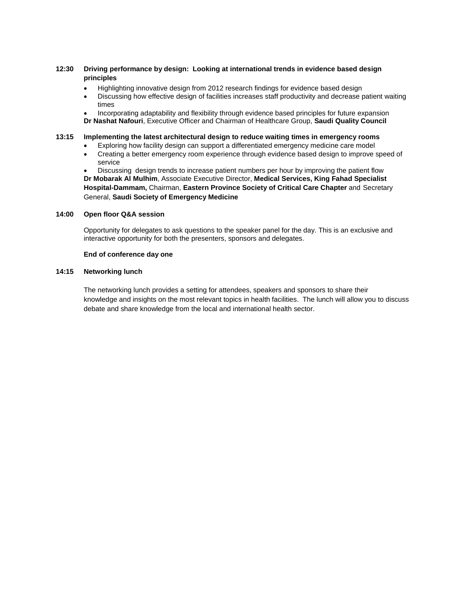#### **12:30 Driving performance by design: Looking at international trends in evidence based design principles**

- Highlighting innovative design from 2012 research findings for evidence based design
- Discussing how effective design of facilities increases staff productivity and decrease patient waiting times
- Incorporating adaptability and flexibility through evidence based principles for future expansion **Dr Nashat Nafouri**, Executive Officer and Chairman of Healthcare Group, **Saudi Quality Council**

#### **13:15 Implementing the latest architectural design to reduce waiting times in emergency rooms**

- Exploring how facility design can support a differentiated emergency medicine care model
- Creating a better emergency room experience through evidence based design to improve speed of service

• Discussing design trends to increase patient numbers per hour by improving the patient flow **Dr Mobarak Al Mulhim**, Associate Executive Director, **Medical Services, King Fahad Specialist Hospital-Dammam,** Chairman, **Eastern Province Society of Critical Care Chapter** and Secretary General, **Saudi Society of Emergency Medicine** 

#### **14:00 Open floor Q&A session**

Opportunity for delegates to ask questions to the speaker panel for the day. This is an exclusive and interactive opportunity for both the presenters, sponsors and delegates.

#### **End of conference day one**

#### **14:15 Networking lunch**

The networking lunch provides a setting for attendees, speakers and sponsors to share their knowledge and insights on the most relevant topics in health facilities. The lunch will allow you to discuss debate and share knowledge from the local and international health sector.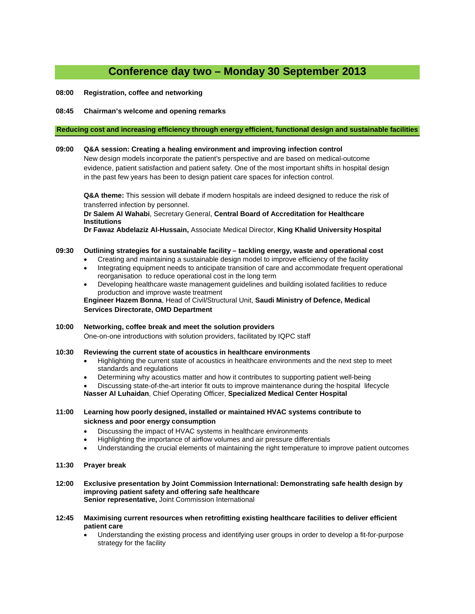# **Conference day two – Monday 30 September 2013**

**08:00 Registration, coffee and networking**

#### **08:45 Chairman's welcome and opening remarks**

#### **Reducing cost and increasing efficiency through energy efficient, functional design and sustainable facilities**

#### **09:00 Q&A session: Creating a healing environment and improving infection control**

New design models incorporate the patient's perspective and are based on medical-outcome evidence, patient satisfaction and patient safety. One of the most important shifts in hospital design in the past few years has been to design patient care spaces for infection control.

**Q&A theme:** This session will debate if modern hospitals are indeed designed to reduce the risk of transferred infection by personnel.

**Dr Salem Al Wahabi**, Secretary General, **Central Board of Accreditation for Healthcare Institutions**

**Dr Fawaz Abdelaziz Al-Hussain,** Associate Medical Director, **King Khalid University Hospital**

#### **09:30 Outlining strategies for a sustainable facility – tackling energy, waste and operational cost**

- Creating and maintaining a sustainable design model to improve efficiency of the facility
- Integrating equipment needs to anticipate transition of care and accommodate frequent operational reorganisation to reduce operational cost in the long term
- Developing healthcare waste management guidelines and building isolated facilities to reduce production and improve waste treatment

**Engineer Hazem Bonna**, Head of Civil/Structural Unit, **Saudi Ministry of Defence, Medical Services Directorate, OMD Department**

#### **10:00 Networking, coffee break and meet the solution providers**  One-on-one introductions with solution providers, facilitated by IQPC staff

#### **10:30 Reviewing the current state of acoustics in healthcare environments**

- Highlighting the current state of acoustics in healthcare environments and the next step to meet standards and regulations
- Determining why acoustics matter and how it contributes to supporting patient well-being
- Discussing state-of-the-art interior fit outs to improve maintenance during the hospital lifecycle

**Nasser Al Luhaidan**, Chief Operating Officer, **Specialized Medical Center Hospital**

#### **11:00 Learning how poorly designed, installed or maintained HVAC systems contribute to sickness and poor energy consumption**

- Discussing the impact of HVAC systems in healthcare environments
- Highlighting the importance of airflow volumes and air pressure differentials
- Understanding the crucial elements of maintaining the right temperature to improve patient outcomes
- **11:30 Prayer break**
- **12:00 Exclusive presentation by Joint Commission International: Demonstrating safe health design by improving patient safety and offering safe healthcare Senior representative,** Joint Commission International
- **12:45 Maximising current resources when retrofitting existing healthcare facilities to deliver efficient patient care**
	- Understanding the existing process and identifying user groups in order to develop a fit-for-purpose strategy for the facility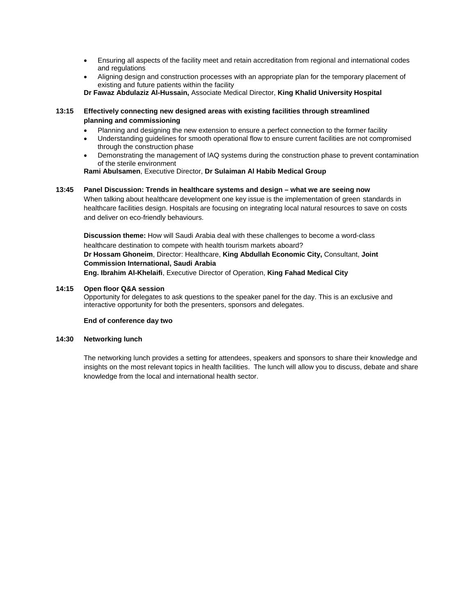- Ensuring all aspects of the facility meet and retain accreditation from regional and international codes and regulations
- Aligning design and construction processes with an appropriate plan for the temporary placement of existing and future patients within the facility

**Dr Fawaz Abdulaziz Al-Hussain,** Associate Medical Director, **King Khalid University Hospital**

#### **13:15 Effectively connecting new designed areas with existing facilities through streamlined planning and commissioning**

- Planning and designing the new extension to ensure a perfect connection to the former facility
- Understanding guidelines for smooth operational flow to ensure current facilities are not compromised through the construction phase
- Demonstrating the management of IAQ systems during the construction phase to prevent contamination of the sterile environment

**Rami Abulsamen**, Executive Director, **Dr Sulaiman Al Habib Medical Group**

#### **13:45 Panel Discussion: Trends in healthcare systems and design – what we are seeing now**

When talking about healthcare development one key issue is the implementation of green standards in healthcare facilities design. Hospitals are focusing on integrating local natural resources to save on costs and deliver on eco-friendly behaviours.

**Discussion theme:** How will Saudi Arabia deal with these challenges to become a word-class healthcare destination to compete with health tourism markets aboard? **Dr Hossam Ghoneim**, Director: Healthcare, **King Abdullah Economic City,** Consultant, **Joint Commission International, Saudi Arabia Eng. Ibrahim Al-Khelaifi**, Executive Director of Operation, **King Fahad Medical City** 

#### **14:15 Open floor Q&A session**

Opportunity for delegates to ask questions to the speaker panel for the day. This is an exclusive and interactive opportunity for both the presenters, sponsors and delegates.

#### **End of conference day two**

#### **14:30 Networking lunch**

The networking lunch provides a setting for attendees, speakers and sponsors to share their knowledge and insights on the most relevant topics in health facilities. The lunch will allow you to discuss, debate and share knowledge from the local and international health sector.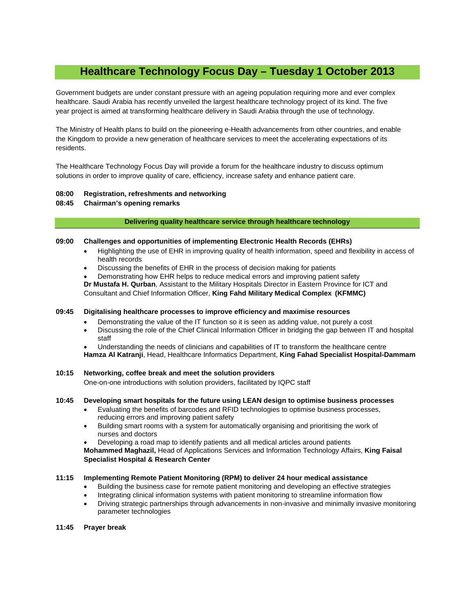## **Healthcare Technology Focus Day – Tuesday 1 October 2013**

Government budgets are under constant pressure with an ageing population requiring more and ever complex healthcare. Saudi Arabia has recently unveiled the largest healthcare technology project of its kind. The five year project is aimed at transforming healthcare delivery in Saudi Arabia through the use of technology.

The Ministry of Health plans to build on the pioneering e-Health advancements from other countries, and enable the Kingdom to provide a new generation of healthcare services to meet the accelerating expectations of its residents.

The Healthcare Technology Focus Day will provide a forum for the healthcare industry to discuss optimum solutions in order to improve quality of care, efficiency, increase safety and enhance patient care.

#### **08:00 Registration, refreshments and networking**

#### **08:45 Chairman's opening remarks**

#### **Delivering quality healthcare service through healthcare technology**

#### **09:00 Challenges and opportunities of implementing Electronic Health Records (EHRs)**

- Highlighting the use of EHR in improving quality of health information, speed and flexibility in access of health records
- Discussing the benefits of EHR in the process of decision making for patients
- Demonstrating how EHR helps to reduce medical errors and improving patient safety

**Dr Mustafa H. Qurban**, Assistant to the Military Hospitals Director in Eastern Province for ICT and

Consultant and Chief Information Officer, **King Fahd Military Medical Complex (KFMMC)**

#### **09:45 Digitalising healthcare processes to improve efficiency and maximise resources**

- Demonstrating the value of the IT function so it is seen as adding value, not purely a cost
- Discussing the role of the Chief Clinical Information Officer in bridging the gap between IT and hospital staff
- Understanding the needs of clinicians and capabilities of IT to transform the healthcare centre

**Hamza Al Katranji**, Head, Healthcare Informatics Department, **King Fahad Specialist Hospital-Dammam**

#### **10:15 Networking, coffee break and meet the solution providers**

One-on-one introductions with solution providers, facilitated by IQPC staff

#### **10:45 Developing smart hospitals for the future using LEAN design to optimise business processes**

- Evaluating the benefits of barcodes and RFID technologies to optimise business processes, reducing errors and improving patient safety
- Building smart rooms with a system for automatically organising and prioritising the work of nurses and doctors
- Developing a road map to identify patients and all medical articles around patients

**Mohammed Maghazil,** Head of Applications Services and Information Technology Affairs, **King Faisal Specialist Hospital & Research Center**

#### **11:15 Implementing Remote Patient Monitoring (RPM) to deliver 24 hour medical assistance**

- Building the business case for remote patient monitoring and developing an effective strategies
- Integrating clinical information systems with patient monitoring to streamline information flow
- Driving strategic partnerships through advancements in non-invasive and minimally invasive monitoring parameter technologies

#### **11:45 Prayer break**